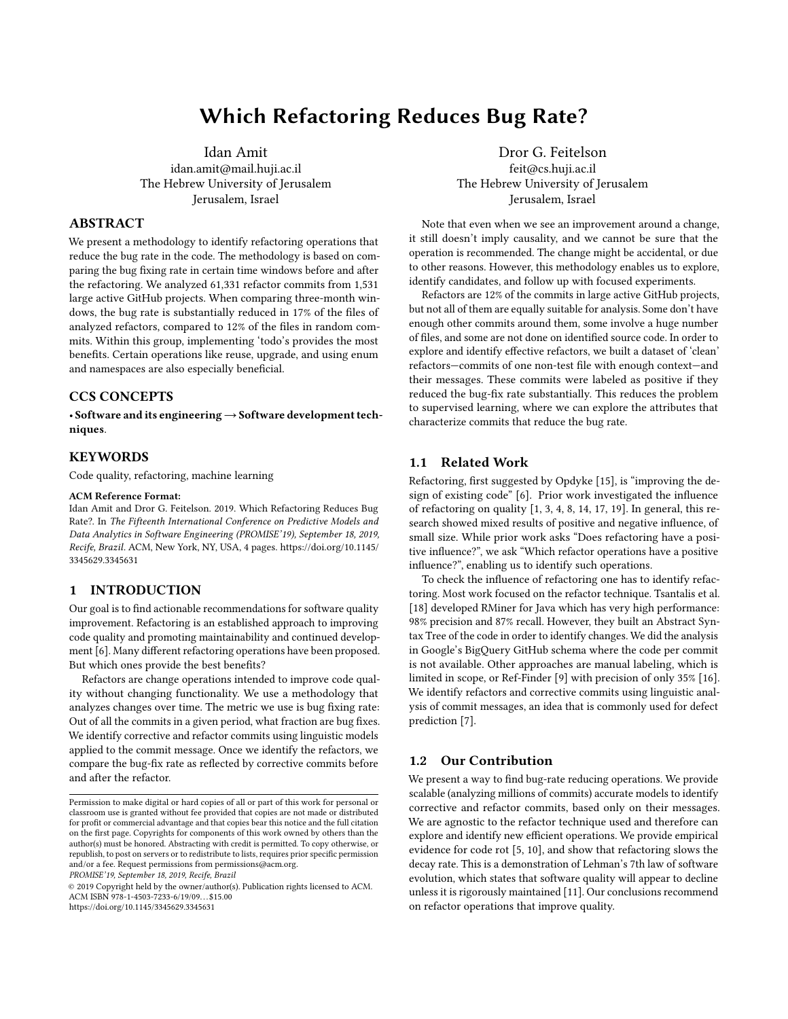# Which Refactoring Reduces Bug Rate?

Idan Amit idan.amit@mail.huji.ac.il The Hebrew University of Jerusalem Jerusalem, Israel

### ABSTRACT

We present a methodology to identify refactoring operations that reduce the bug rate in the code. The methodology is based on comparing the bug fixing rate in certain time windows before and after the refactoring. We analyzed 61,331 refactor commits from 1,531 large active GitHub projects. When comparing three-month windows, the bug rate is substantially reduced in 17% of the files of analyzed refactors, compared to 12% of the files in random commits. Within this group, implementing 'todo's provides the most benefits. Certain operations like reuse, upgrade, and using enum and namespaces are also especially beneficial.

# CCS CONCEPTS

• Software and its engineering→Software development techniques.

### **KEYWORDS**

Code quality, refactoring, machine learning

### ACM Reference Format:

Idan Amit and Dror G. Feitelson. 2019. Which Refactoring Reduces Bug Rate?. In The Fifteenth International Conference on Predictive Models and Data Analytics in Software Engineering (PROMISE'19), September 18, 2019, Recife, Brazil. ACM, New York, NY, USA, [4](#page-3-0) pages. [https://doi.org/10.1145/](https://doi.org/10.1145/3345629.3345631) [3345629.3345631](https://doi.org/10.1145/3345629.3345631)

### 1 INTRODUCTION

Our goal is to find actionable recommendations for software quality improvement. Refactoring is an established approach to improving code quality and promoting maintainability and continued development [\[6\]](#page-3-1). Many different refactoring operations have been proposed. But which ones provide the best benefits?

Refactors are change operations intended to improve code quality without changing functionality. We use a methodology that analyzes changes over time. The metric we use is bug fixing rate: Out of all the commits in a given period, what fraction are bug fixes. We identify corrective and refactor commits using linguistic models applied to the commit message. Once we identify the refactors, we compare the bug-fix rate as reflected by corrective commits before and after the refactor.

PROMISE'19, September 18, 2019, Recife, Brazil

© 2019 Copyright held by the owner/author(s). Publication rights licensed to ACM. ACM ISBN 978-1-4503-7233-6/19/09. . . \$15.00 <https://doi.org/10.1145/3345629.3345631>

Dror G. Feitelson feit@cs.huji.ac.il The Hebrew University of Jerusalem Jerusalem, Israel

Note that even when we see an improvement around a change, it still doesn't imply causality, and we cannot be sure that the operation is recommended. The change might be accidental, or due to other reasons. However, this methodology enables us to explore, identify candidates, and follow up with focused experiments.

Refactors are 12% of the commits in large active GitHub projects, but not all of them are equally suitable for analysis. Some don't have enough other commits around them, some involve a huge number of files, and some are not done on identified source code. In order to explore and identify effective refactors, we built a dataset of 'clean' refactors—commits of one non-test file with enough context—and their messages. These commits were labeled as positive if they reduced the bug-fix rate substantially. This reduces the problem to supervised learning, where we can explore the attributes that characterize commits that reduce the bug rate.

### 1.1 Related Work

Refactoring, first suggested by Opdyke [\[15\]](#page-3-2), is "improving the design of existing code" [\[6\]](#page-3-1). Prior work investigated the influence of refactoring on quality [\[1,](#page-3-3) [3,](#page-3-4) [4,](#page-3-5) [8,](#page-3-6) [14,](#page-3-7) [17,](#page-3-8) [19\]](#page-3-9). In general, this research showed mixed results of positive and negative influence, of small size. While prior work asks "Does refactoring have a positive influence?", we ask "Which refactor operations have a positive influence?", enabling us to identify such operations.

To check the influence of refactoring one has to identify refactoring. Most work focused on the refactor technique. Tsantalis et al. [\[18\]](#page-3-10) developed RMiner for Java which has very high performance: 98% precision and 87% recall. However, they built an Abstract Syntax Tree of the code in order to identify changes. We did the analysis in Google's BigQuery GitHub schema where the code per commit is not available. Other approaches are manual labeling, which is limited in scope, or Ref-Finder [\[9\]](#page-3-11) with precision of only 35% [\[16\]](#page-3-12). We identify refactors and corrective commits using linguistic analysis of commit messages, an idea that is commonly used for defect prediction [\[7\]](#page-3-13).

### 1.2 Our Contribution

We present a way to find bug-rate reducing operations. We provide scalable (analyzing millions of commits) accurate models to identify corrective and refactor commits, based only on their messages. We are agnostic to the refactor technique used and therefore can explore and identify new efficient operations. We provide empirical evidence for code rot [\[5,](#page-3-14) [10\]](#page-3-15), and show that refactoring slows the decay rate. This is a demonstration of Lehman's 7th law of software evolution, which states that software quality will appear to decline unless it is rigorously maintained [\[11\]](#page-3-16). Our conclusions recommend on refactor operations that improve quality.

Permission to make digital or hard copies of all or part of this work for personal or classroom use is granted without fee provided that copies are not made or distributed for profit or commercial advantage and that copies bear this notice and the full citation on the first page. Copyrights for components of this work owned by others than the author(s) must be honored. Abstracting with credit is permitted. To copy otherwise, or republish, to post on servers or to redistribute to lists, requires prior specific permission and/or a fee. Request permissions from permissions@acm.org.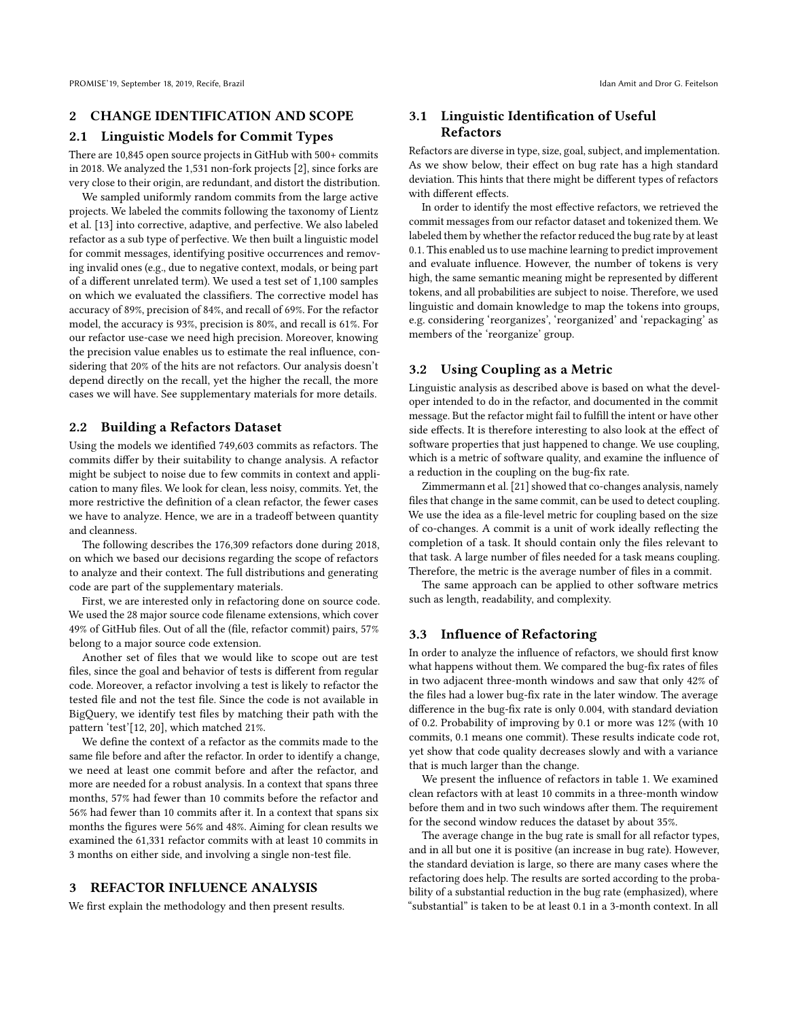# 2 CHANGE IDENTIFICATION AND SCOPE

### 2.1 Linguistic Models for Commit Types

There are 10,845 open source projects in GitHub with 500+ commits in 2018. We analyzed the 1,531 non-fork projects [\[2\]](#page-3-17), since forks are very close to their origin, are redundant, and distort the distribution.

We sampled uniformly random commits from the large active projects. We labeled the commits following the taxonomy of Lientz et al. [\[13\]](#page-3-18) into corrective, adaptive, and perfective. We also labeled refactor as a sub type of perfective. We then built a linguistic model for commit messages, identifying positive occurrences and removing invalid ones (e.g., due to negative context, modals, or being part of a different unrelated term). We used a test set of 1,100 samples on which we evaluated the classifiers. The corrective model has accuracy of 89%, precision of 84%, and recall of 69%. For the refactor model, the accuracy is 93%, precision is 80%, and recall is 61%. For our refactor use-case we need high precision. Moreover, knowing the precision value enables us to estimate the real influence, considering that 20% of the hits are not refactors. Our analysis doesn't depend directly on the recall, yet the higher the recall, the more cases we will have. See supplementary materials for more details.

### 2.2 Building a Refactors Dataset

Using the models we identified 749,603 commits as refactors. The commits differ by their suitability to change analysis. A refactor might be subject to noise due to few commits in context and application to many files. We look for clean, less noisy, commits. Yet, the more restrictive the definition of a clean refactor, the fewer cases we have to analyze. Hence, we are in a tradeoff between quantity and cleanness.

The following describes the 176,309 refactors done during 2018, on which we based our decisions regarding the scope of refactors to analyze and their context. The full distributions and generating code are part of the [supplementary materials.](#page-3-19)

First, we are interested only in refactoring done on source code. We used the 28 major source code filename extensions, which cover 49% of GitHub files. Out of all the (file, refactor commit) pairs, 57% belong to a major source code extension.

Another set of files that we would like to scope out are test files, since the goal and behavior of tests is different from regular code. Moreover, a refactor involving a test is likely to refactor the tested file and not the test file. Since the code is not available in BigQuery, we identify test files by matching their path with the pattern 'test'[\[12,](#page-3-20) [20\]](#page-3-21), which matched 21%.

We define the context of a refactor as the commits made to the same file before and after the refactor. In order to identify a change, we need at least one commit before and after the refactor, and more are needed for a robust analysis. In a context that spans three months, 57% had fewer than 10 commits before the refactor and 56% had fewer than 10 commits after it. In a context that spans six months the figures were 56% and 48%. Aiming for clean results we examined the 61,331 refactor commits with at least 10 commits in 3 months on either side, and involving a single non-test file.

## 3 REFACTOR INFLUENCE ANALYSIS

We first explain the methodology and then present results.

# 3.1 Linguistic Identification of Useful Refactors

Refactors are diverse in type, size, goal, subject, and implementation. As we show below, their effect on bug rate has a high standard deviation. This hints that there might be different types of refactors with different effects.

In order to identify the most effective refactors, we retrieved the commit messages from our refactor dataset and tokenized them. We labeled them by whether the refactor reduced the bug rate by at least 0.1. This enabled us to use machine learning to predict improvement and evaluate influence. However, the number of tokens is very high, the same semantic meaning might be represented by different tokens, and all probabilities are subject to noise. Therefore, we used linguistic and domain knowledge to map the tokens into groups, e.g. considering 'reorganizes', 'reorganized' and 'repackaging' as members of the 'reorganize' group.

### 3.2 Using Coupling as a Metric

Linguistic analysis as described above is based on what the developer intended to do in the refactor, and documented in the commit message. But the refactor might fail to fulfill the intent or have other side effects. It is therefore interesting to also look at the effect of software properties that just happened to change. We use coupling, which is a metric of software quality, and examine the influence of a reduction in the coupling on the bug-fix rate.

Zimmermann et al. [\[21\]](#page-3-22) showed that co-changes analysis, namely files that change in the same commit, can be used to detect coupling. We use the idea as a file-level metric for coupling based on the size of co-changes. A commit is a unit of work ideally reflecting the completion of a task. It should contain only the files relevant to that task. A large number of files needed for a task means coupling. Therefore, the metric is the average number of files in a commit.

The same approach can be applied to other software metrics such as length, readability, and complexity.

### 3.3 Influence of Refactoring

In order to analyze the influence of refactors, we should first know what happens without them. We compared the bug-fix rates of files in two adjacent three-month windows and saw that only 42% of the files had a lower bug-fix rate in the later window. The average difference in the bug-fix rate is only 0.004, with standard deviation of 0.2. Probability of improving by 0.1 or more was 12% (with 10 commits, 0.1 means one commit). These results indicate code rot, yet show that code quality decreases slowly and with a variance that is much larger than the change.

We present the influence of refactors in table [1.](#page-2-0) We examined clean refactors with at least 10 commits in a three-month window before them and in two such windows after them. The requirement for the second window reduces the dataset by about 35%.

The average change in the bug rate is small for all refactor types, and in all but one it is positive (an increase in bug rate). However, the standard deviation is large, so there are many cases where the refactoring does help. The results are sorted according to the probability of a substantial reduction in the bug rate (emphasized), where "substantial" is taken to be at least 0.1 in a 3-month context. In all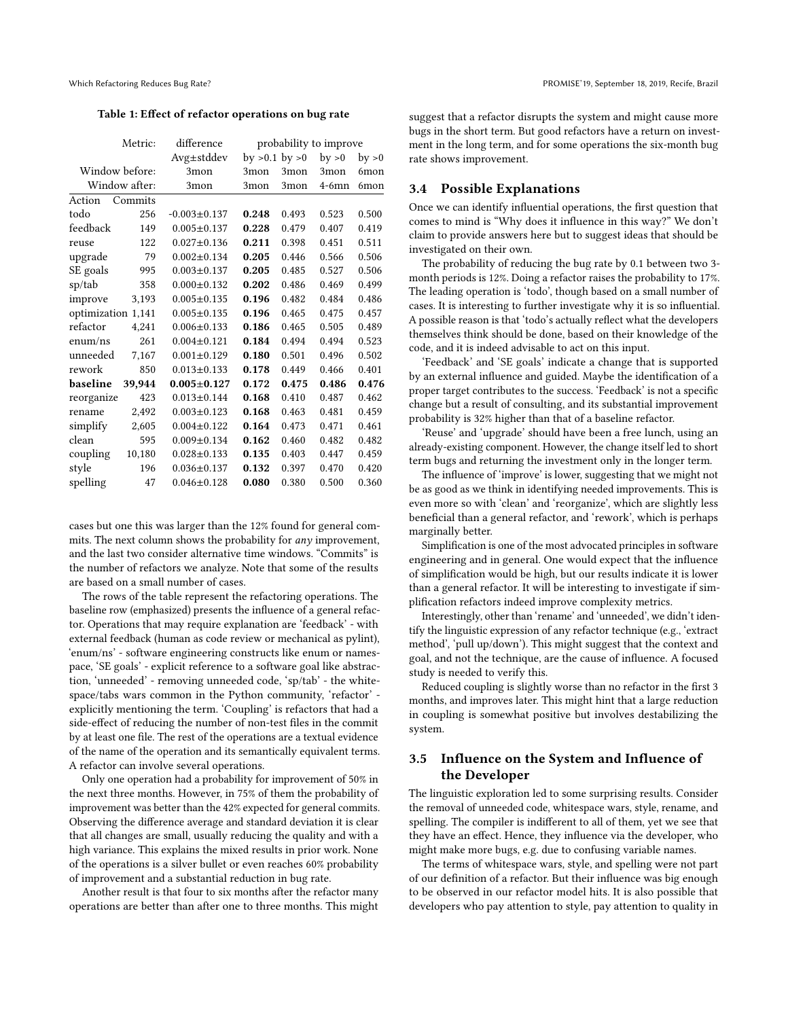<span id="page-2-0"></span>Table 1: Effect of refactor operations on bug rate

| Metric:            |        | difference         | probability to improve |       |          |        |
|--------------------|--------|--------------------|------------------------|-------|----------|--------|
|                    |        | $Avg{\pm}stddev$   | by $>0.1$ by $>0$      |       | by > 0   | by > 0 |
| Window before:     |        | 3mon               | 3mon                   | 3mon  | 3mon     | 6mon   |
| Window after:      |        | 3mon               | 3mon                   | 3mon  | $4-6$ mn | 6mon   |
| Action<br>Commits  |        |                    |                        |       |          |        |
| todo               | 256    | $-0.003 \pm 0.137$ | 0.248                  | 0.493 | 0.523    | 0.500  |
| feedback           | 149    | $0.005 \pm 0.137$  | 0.228                  | 0.479 | 0.407    | 0.419  |
| reuse              | 122    | $0.027 \pm 0.136$  | 0.211                  | 0.398 | 0.451    | 0.511  |
| upgrade            | 79     | $0.002 \pm 0.134$  | 0.205                  | 0.446 | 0.566    | 0.506  |
| SE goals           | 995    | $0.003 \pm 0.137$  | 0.205                  | 0.485 | 0.527    | 0.506  |
| sp/tab             | 358    | $0.000 \pm 0.132$  | 0.202                  | 0.486 | 0.469    | 0.499  |
| improve            | 3,193  | $0.005 \pm 0.135$  | 0.196                  | 0.482 | 0.484    | 0.486  |
| optimization 1,141 |        | $0.005 \pm 0.135$  | 0.196                  | 0.465 | 0.475    | 0.457  |
| refactor           | 4,241  | $0.006 \pm 0.133$  | 0.186                  | 0.465 | 0.505    | 0.489  |
| enum/ns            | 261    | $0.004 \pm 0.121$  | 0.184                  | 0.494 | 0.494    | 0.523  |
| unneeded           | 7,167  | $0.001 \pm 0.129$  | 0.180                  | 0.501 | 0.496    | 0.502  |
| rework             | 850    | $0.013 \pm 0.133$  | 0.178                  | 0.449 | 0.466    | 0.401  |
| baseline           | 39,944 | $0.005 \pm 0.127$  | 0.172                  | 0.475 | 0.486    | 0.476  |
| reorganize         | 423    | $0.013 \pm 0.144$  | 0.168                  | 0.410 | 0.487    | 0.462  |
| rename             | 2,492  | $0.003 \pm 0.123$  | 0.168                  | 0.463 | 0.481    | 0.459  |
| simplify           | 2,605  | $0.004 \pm 0.122$  | 0.164                  | 0.473 | 0.471    | 0.461  |
| clean              | 595    | $0.009 \pm 0.134$  | 0.162                  | 0.460 | 0.482    | 0.482  |
| coupling           | 10,180 | $0.028 + 0.133$    | 0.135                  | 0.403 | 0.447    | 0.459  |
| style              | 196    | $0.036 \pm 0.137$  | 0.132                  | 0.397 | 0.470    | 0.420  |
| spelling           | 47     | $0.046 \pm 0.128$  | 0.080                  | 0.380 | 0.500    | 0.360  |

cases but one this was larger than the 12% found for general commits. The next column shows the probability for any improvement, and the last two consider alternative time windows. "Commits" is the number of refactors we analyze. Note that some of the results are based on a small number of cases.

The rows of the table represent the refactoring operations. The baseline row (emphasized) presents the influence of a general refactor. Operations that may require explanation are 'feedback' - with external feedback (human as code review or mechanical as pylint), 'enum/ns' - software engineering constructs like enum or namespace, 'SE goals' - explicit reference to a software goal like abstraction, 'unneeded' - removing unneeded code, 'sp/tab' - the whitespace/tabs wars common in the Python community, 'refactor' explicitly mentioning the term. 'Coupling' is refactors that had a side-effect of reducing the number of non-test files in the commit by at least one file. The rest of the operations are a textual evidence of the name of the operation and its semantically equivalent terms. A refactor can involve several operations.

Only one operation had a probability for improvement of 50% in the next three months. However, in 75% of them the probability of improvement was better than the 42% expected for general commits. Observing the difference average and standard deviation it is clear that all changes are small, usually reducing the quality and with a high variance. This explains the mixed results in prior work. None of the operations is a silver bullet or even reaches 60% probability of improvement and a substantial reduction in bug rate.

Another result is that four to six months after the refactor many operations are better than after one to three months. This might suggest that a refactor disrupts the system and might cause more bugs in the short term. But good refactors have a return on investment in the long term, and for some operations the six-month bug rate shows improvement.

# 3.4 Possible Explanations

Once we can identify influential operations, the first question that comes to mind is "Why does it influence in this way?" We don't claim to provide answers here but to suggest ideas that should be investigated on their own.

The probability of reducing the bug rate by 0.1 between two 3 month periods is 12%. Doing a refactor raises the probability to 17%. The leading operation is 'todo', though based on a small number of cases. It is interesting to further investigate why it is so influential. A possible reason is that 'todo's actually reflect what the developers themselves think should be done, based on their knowledge of the code, and it is indeed advisable to act on this input.

'Feedback' and 'SE goals' indicate a change that is supported by an external influence and guided. Maybe the identification of a proper target contributes to the success. 'Feedback' is not a specific change but a result of consulting, and its substantial improvement probability is 32% higher than that of a baseline refactor.

'Reuse' and 'upgrade' should have been a free lunch, using an already-existing component. However, the change itself led to short term bugs and returning the investment only in the longer term.

The influence of 'improve' is lower, suggesting that we might not be as good as we think in identifying needed improvements. This is even more so with 'clean' and 'reorganize', which are slightly less beneficial than a general refactor, and 'rework', which is perhaps marginally better.

Simplification is one of the most advocated principles in software engineering and in general. One would expect that the influence of simplification would be high, but our results indicate it is lower than a general refactor. It will be interesting to investigate if simplification refactors indeed improve complexity metrics.

Interestingly, other than 'rename' and 'unneeded', we didn't identify the linguistic expression of any refactor technique (e.g., 'extract method', 'pull up/down'). This might suggest that the context and goal, and not the technique, are the cause of influence. A focused study is needed to verify this.

Reduced coupling is slightly worse than no refactor in the first 3 months, and improves later. This might hint that a large reduction in coupling is somewhat positive but involves destabilizing the system.

# 3.5 Influence on the System and Influence of the Developer

The linguistic exploration led to some surprising results. Consider the removal of unneeded code, whitespace wars, style, rename, and spelling. The compiler is indifferent to all of them, yet we see that they have an effect. Hence, they influence via the developer, who might make more bugs, e.g. due to confusing variable names.

The terms of whitespace wars, style, and spelling were not part of our definition of a refactor. But their influence was big enough to be observed in our refactor model hits. It is also possible that developers who pay attention to style, pay attention to quality in